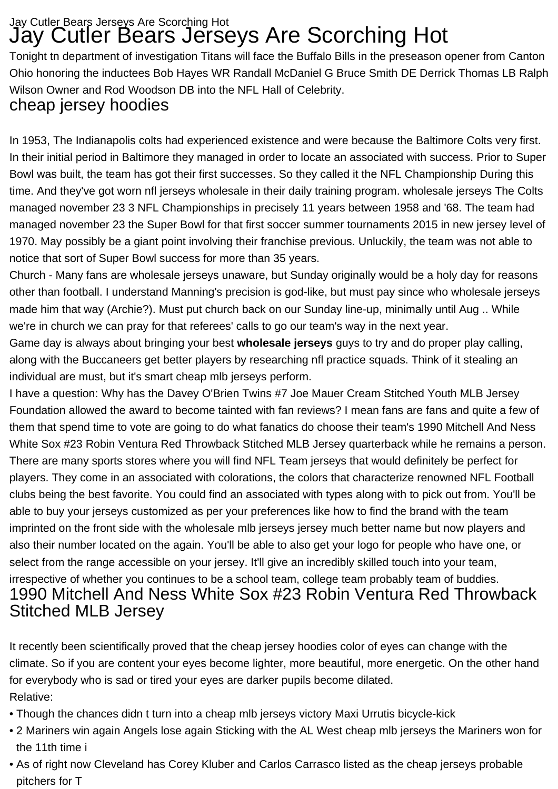## Jay Cutler Bears Jerseys Are Scorching Hot Jay Cutler Bears Jerseys Are Scorching Hot

Tonight tn department of investigation Titans will face the Buffalo Bills in the preseason opener from Canton Ohio honoring the inductees Bob Hayes WR Randall McDaniel G Bruce Smith DE Derrick Thomas LB Ralph Wilson Owner and Rod Woodson DB into the NFL Hall of Celebrity.

## cheap jersey hoodies

In 1953, The Indianapolis colts had experienced existence and were because the Baltimore Colts very first. In their initial period in Baltimore they managed in order to locate an associated with success. Prior to Super Bowl was built, the team has got their first successes. So they called it the NFL Championship During this time. And they've got worn nfl jerseys wholesale in their daily training program. [wholesale jerseys](https://www.youcheapjerseys.com) The Colts managed november 23 3 NFL Championships in precisely 11 years between 1958 and '68. The team had managed november 23 the Super Bowl for that first soccer summer tournaments 2015 in new jersey level of 1970. May possibly be a giant point involving their franchise previous. Unluckily, the team was not able to notice that sort of Super Bowl success for more than 35 years.

Church - Many fans are [wholesale jerseys](https://www.wholesalejerseyseshop.com) unaware, but Sunday originally would be a holy day for reasons other than football. I understand Manning's precision is god-like, but must pay since who [wholesale jerseys](https://www.bcheapjerseys.com) made him that way (Archie?). Must put church back on our Sunday line-up, minimally until Aug .. While we're in church we can pray for that referees' calls to go our team's way in the next year.

Game day is always about bringing your best **wholesale jerseys** guys to try and do proper play calling, along with the Buccaneers get better players by researching nfl practice squads. Think of it stealing an individual are must, but it's smart [cheap mlb jerseys](http://www.cheapujerseys.com) perform.

I have a question: Why has the Davey O'Brien Twins #7 Joe Mauer Cream Stitched Youth MLB Jersey Foundation allowed the award to become tainted with fan reviews? I mean fans are fans and quite a few of them that spend time to vote are going to do what fanatics do choose their team's 1990 Mitchell And Ness White Sox #23 Robin Ventura Red Throwback Stitched MLB Jersey quarterback while he remains a person. There are many sports stores where you will find NFL Team jerseys that would definitely be perfect for players. They come in an associated with colorations, the colors that characterize renowned NFL Football clubs being the best favorite. You could find an associated with types along with to pick out from. You'll be able to buy your jerseys customized as per your preferences like how to find the brand with the team imprinted on the front side with the [wholesale mlb jerseys](http://www.wholesaleijerseys.com) jersey much better name but now players and also their number located on the again. You'll be able to also get your logo for people who have one, or select from the range accessible on your jersey. It'll give an incredibly skilled touch into your team, irrespective of whether you continues to be a school team, college team probably team of buddies. 1990 Mitchell And Ness White Sox #23 Robin Ventura Red Throwback Stitched MLB Jersey

It recently been scientifically proved that the cheap jersey hoodies color of eyes can change with the climate. So if you are content your eyes become lighter, more beautiful, more energetic. On the other hand for everybody who is sad or tired your eyes are darker pupils become dilated. Relative:

- [Though the chances didn t turn into a cheap mlb jerseys victory Maxi Urrutis bicycle-kick](http://www.psihologstz.com/20161220/6s9ul2a.html)
- [2 Mariners win again Angels lose again Sticking with the AL West cheap mlb jerseys the Mariners won for](http://weiwellmall.com/20161125/49113641) [the 11th time i](http://weiwellmall.com/20161125/49113641)
- [As of right now Cleveland has Corey Kluber and Carlos Carrasco listed as the cheap jerseys probable](http://www.infoshri.com/2016-12-28-ypyeyqec.html.doc) [pitchers for T](http://www.infoshri.com/2016-12-28-ypyeyqec.html.doc)